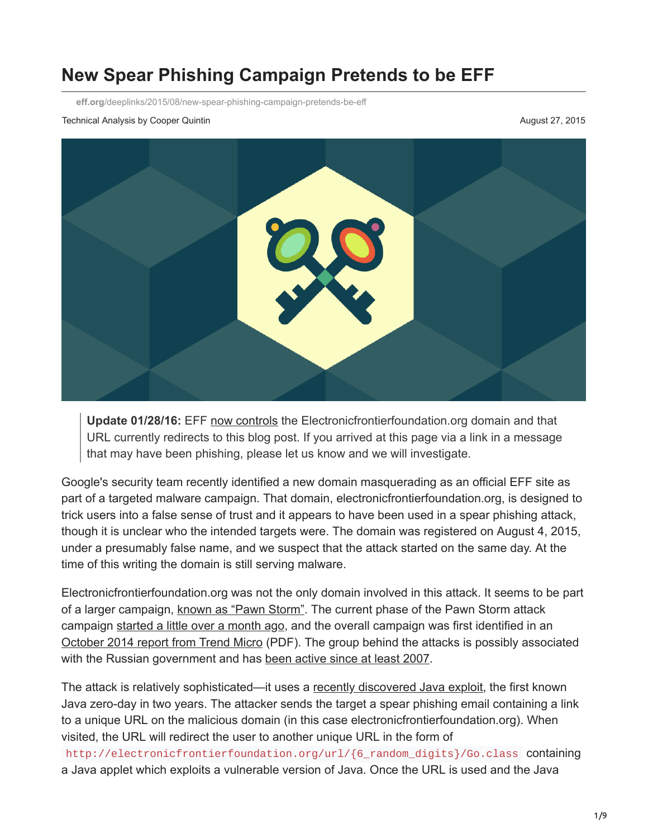# **New Spear Phishing Campaign Pretends to be EFF**

**eff.org**[/deeplinks/2015/08/new-spear-phishing-campaign-pretends-be-eff](https://www.eff.org/deeplinks/2015/08/new-spear-phishing-campaign-pretends-be-eff)

Technical Analysis by Cooper Quintin **August 27, 2015 August 27, 2015** 



**Update 01/28/16:** EFF [now controls](https://www.techdirt.com/articles/20151118/06451432850/wipo-gives-eff-control-over-bogus-domain-used-to-distribute-keyloggers-other-malware.shtml) the Electronicfrontierfoundation.org domain and that URL currently redirects to this blog post. If you arrived at this page via a link in a message that may have been phishing, please let us know and we will investigate.

Google's security team recently identified a new domain masquerading as an official EFF site as part of a targeted malware campaign. That domain, electronicfrontierfoundation.org, is designed to trick users into a false sense of trust and it appears to have been used in a spear phishing attack, though it is unclear who the intended targets were. The domain was registered on August 4, 2015, under a presumably false name, and we suspect that the attack started on the same day. At the time of this writing the domain is still serving malware.

Electronicfrontierfoundation.org was not the only domain involved in this attack. It seems to be part of a larger campaign, [known as "Pawn Storm".](https://www.trendmicro.com/vinfo/us/security/news/cyber-attacks/pawn-storm-espionage-attacks-use-decoys-deliver-sednit) The current phase of the Pawn Storm attack campaign [started a little over a month ago,](http://blog.trendmicro.com/trendlabs-security-intelligence/pawn-storm-update-trend-micro-discovers-new-java-zero-day-exploit/) and the overall campaign was first identified in an [October 2014 report from Trend Micro](https://www.trendmicro.com/cloud-content/us/pdfs/security-intelligence/white-papers/wp-operation-pawn-storm.pdf) (PDF). The group behind the attacks is possibly associated with the Russian government and has [been active since at least 2007.](http://blog.trendmicro.com/trendlabs-security-intelligence/operation-pawn-storm-ramps-up-its-activities-targets-nato-white-house/)

The attack is relatively sophisticated—it uses a [recently discovered Java exploit,](http://blog.trendmicro.com/trendlabs-security-intelligence/an-in-depth-look-at-how-pawn-storms-java-zero-day-was-used/) the first known Java zero-day in two years. The attacker sends the target a spear phishing email containing a link to a unique URL on the malicious domain (in this case electronicfrontierfoundation.org). When visited, the URL will redirect the user to another unique URL in the form of http://electronicfrontierfoundation.org/url/{6\_random\_digits}/Go.class containing a Java applet which exploits a vulnerable version of Java. Once the URL is used and the Java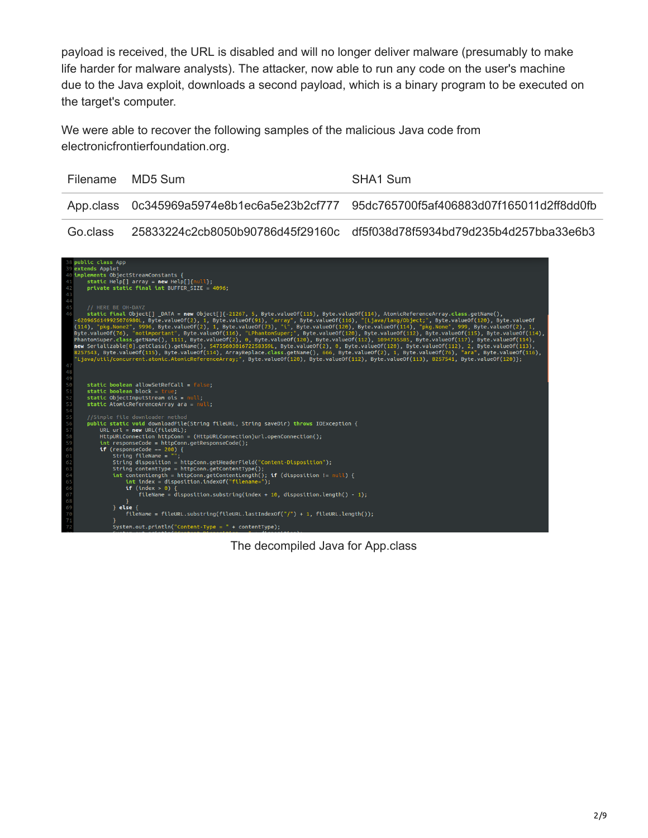payload is received, the URL is disabled and will no longer deliver malware (presumably to make life harder for malware analysts). The attacker, now able to run any code on the user's machine due to the Java exploit, downloads a second payload, which is a binary program to be executed on the target's computer.

We were able to recover the following samples of the malicious Java code from electronicfrontierfoundation.org.

| Filename MD5 Sum | SHA1 Sum                                                                            |
|------------------|-------------------------------------------------------------------------------------|
|                  | App.class 0c345969a5974e8b1ec6a5e23b2cf777 95dc765700f5af406883d07f165011d2ff8dd0fb |
|                  |                                                                                     |

Go.class 25833224c2cb8050b90786d45f29160c df5f038d78f5934bd79d235b4d257bba33e6b3



The decompiled Java for App.class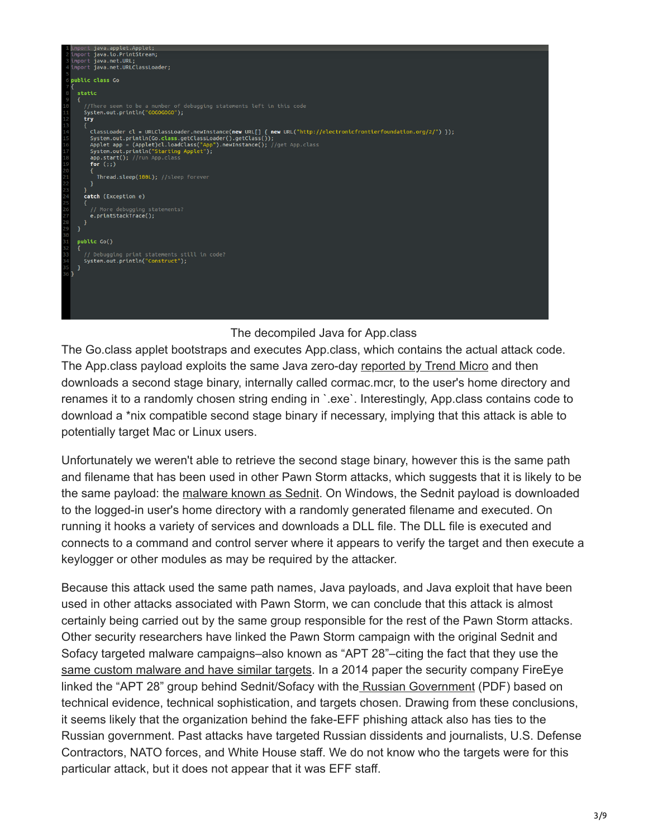

#### The decompiled Java for App.class

The Go.class applet bootstraps and executes App.class, which contains the actual attack code. The App.class payload exploits the same Java zero-day [reported by Trend Micro](http://blog.trendmicro.com/trendlabs-security-intelligence/analyzing-the-pawn-storm-java-zero-day-old-techniques-reused/) and then downloads a second stage binary, internally called cormac.mcr, to the user's home directory and renames it to a randomly chosen string ending in `.exe`. Interestingly, App.class contains code to download a \*nix compatible second stage binary if necessary, implying that this attack is able to potentially target Mac or Linux users.

Unfortunately we weren't able to retrieve the second stage binary, however this is the same path and filename that has been used in other Pawn Storm attacks, which suggests that it is likely to be the same payload: the [malware known as Sednit.](http://blog.trendmicro.com/trendlabs-security-intelligence/operation-pawn-storm-the-red-in-sednit/) On Windows, the Sednit payload is downloaded to the logged-in user's home directory with a randomly generated filename and executed. On running it hooks a variety of services and downloads a DLL file. The DLL file is executed and connects to a command and control server where it appears to verify the target and then execute a keylogger or other modules as may be required by the attacker.

Because this attack used the same path names, Java payloads, and Java exploit that have been used in other attacks associated with Pawn Storm, we can conclude that this attack is almost certainly being carried out by the same group responsible for the rest of the Pawn Storm attacks. Other security researchers have linked the Pawn Storm campaign with the original Sednit and Sofacy targeted malware campaigns–also known as "APT 28"–citing the fact that they use the [same custom malware and have similar targets.](http://resources.infosecinstitute.com/apt28-cybercrime-or-state-sponsored-hacking/) In a 2014 paper the security company FireEye linked the "APT 28" group behind Sednit/Sofacy with th[e Russian Government](https://www2.fireeye.com/rs/fireye/images/rpt-apt28.pdf) (PDF) based on technical evidence, technical sophistication, and targets chosen. Drawing from these conclusions, it seems likely that the organization behind the fake-EFF phishing attack also has ties to the Russian government. Past attacks have targeted Russian dissidents and journalists, U.S. Defense Contractors, NATO forces, and White House staff. We do not know who the targets were for this particular attack, but it does not appear that it was EFF staff.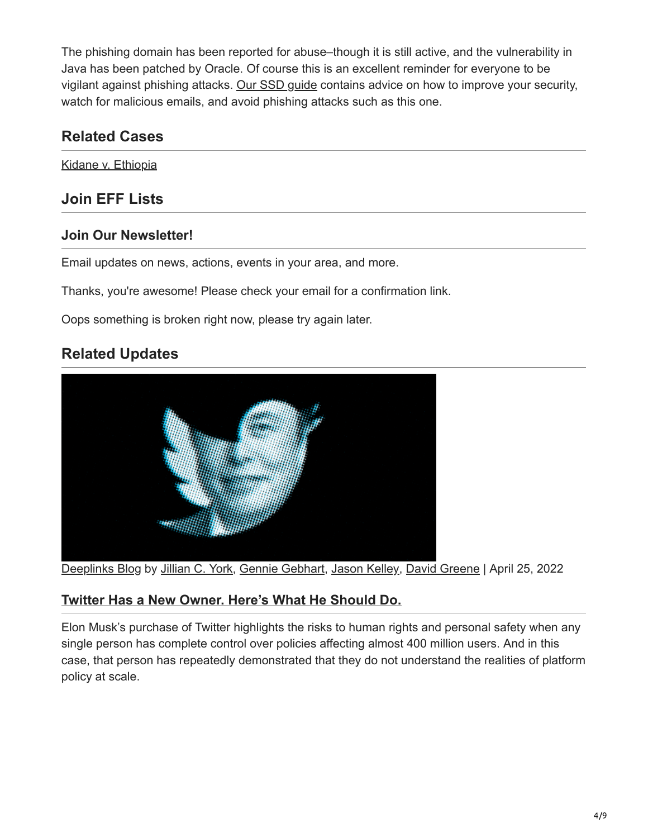The phishing domain has been reported for abuse–though it is still active, and the vulnerability in Java has been patched by Oracle. Of course this is an excellent reminder for everyone to be vigilant against phishing attacks. [Our SSD guide](https://ssd.eff.org/) contains advice on how to improve your security, watch for malicious emails, and avoid phishing attacks such as this one.

## **Related Cases**

[Kidane v. Ethiopia](https://www.eff.org/cases/kidane-v-ethiopia)

## **Join EFF Lists**

### **Join Our Newsletter!**

Email updates on news, actions, events in your area, and more.

Thanks, you're awesome! Please check your email for a confirmation link.

Oops something is broken right now, please try again later.

## **Related Updates**



[Deeplinks Blog](https://www.eff.org/updates?type=blog) by [Jillian C. York,](https://www.eff.org/about/staff/jillian-york) [Gennie Gebhart,](https://www.eff.org/about/staff/gennie-gebhart) [Jason Kelley](https://www.eff.org/about/staff/jason-kelley), [David Greene](https://www.eff.org/about/staff/david-greene) | April 25, 2022

### **[Twitter Has a New Owner. Here's What He Should Do.](https://www.eff.org/deeplinks/2022/04/twitter-has-new-owner-heres-what-he-should-do)**

Elon Musk's purchase of Twitter highlights the risks to human rights and personal safety when any single person has complete control over policies affecting almost 400 million users. And in this case, that person has repeatedly demonstrated that they do not understand the realities of platform policy at scale.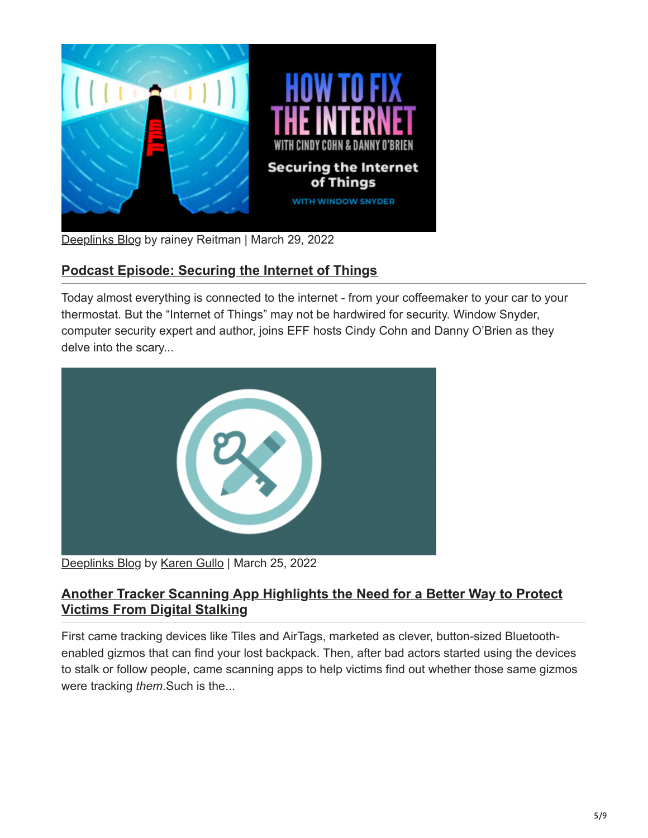

[Deeplinks Blog](https://www.eff.org/updates?type=blog) by rainey Reitman | March 29, 2022

## **[Podcast Episode: Securing the Internet of Things](https://www.eff.org/deeplinks/2022/03/podcast-episode-securing-internet-things)**

Today almost everything is connected to the internet - from your coffeemaker to your car to your thermostat. But the "Internet of Things" may not be hardwired for security. Window Snyder, computer security expert and author, joins EFF hosts Cindy Cohn and Danny O'Brien as they delve into the scary...



[Deeplinks Blog](https://www.eff.org/updates?type=blog) by [Karen Gullo](https://www.eff.org/about/staff/karen-gullo) | March 25, 2022

### **[Another Tracker Scanning App Highlights the Need for a Better Way to Protect](https://www.eff.org/deeplinks/2022/03/another-tracker-scanning-app-highlights-need-better-way-protect-victims-digital) Victims From Digital Stalking**

First came tracking devices like Tiles and AirTags, marketed as clever, button-sized Bluetoothenabled gizmos that can find your lost backpack. Then, after bad actors started using the devices to stalk or follow people, came scanning apps to help victims find out whether those same gizmos were tracking *them*.Such is the...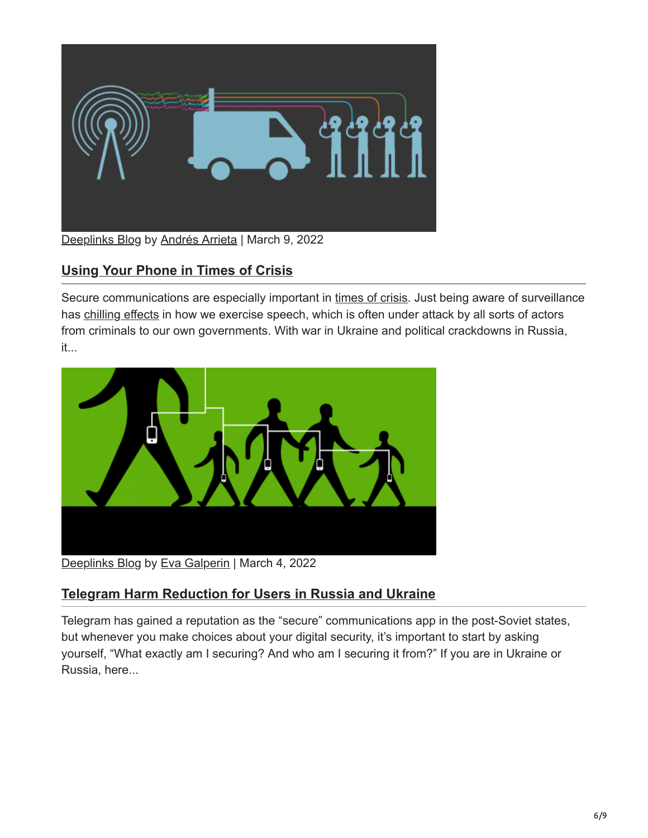

## **[Using Your Phone in Times of Crisis](https://www.eff.org/deeplinks/2022/03/using-your-phone-times-crisis)**

Secure communications are especially important in [times of crisis](https://www.eff.org/deeplinks/2022/03/telegram-harm-reduction-users-russia-and-ukraine). Just being aware of surveillance has [chilling effects](https://www.eff.org/deeplinks/2016/05/when-surveillance-chills-speech-new-studies-show-our-rights-free-association) in how we exercise speech, which is often under attack by all sorts of actors from criminals to our own governments. With war in Ukraine and political crackdowns in Russia, it...



[Deeplinks Blog](https://www.eff.org/updates?type=blog) by [Eva Galperin](https://www.eff.org/about/staff/eva-galperin) | March 4, 2022

### **[Telegram Harm Reduction for Users in Russia and Ukraine](https://www.eff.org/deeplinks/2022/03/telegram-harm-reduction-users-russia-and-ukraine)**

Telegram has gained a reputation as the "secure" communications app in the post-Soviet states, but whenever you make choices about your digital security, it's important to start by asking yourself, "What exactly am I securing? And who am I securing it from?" If you are in Ukraine or Russia, here...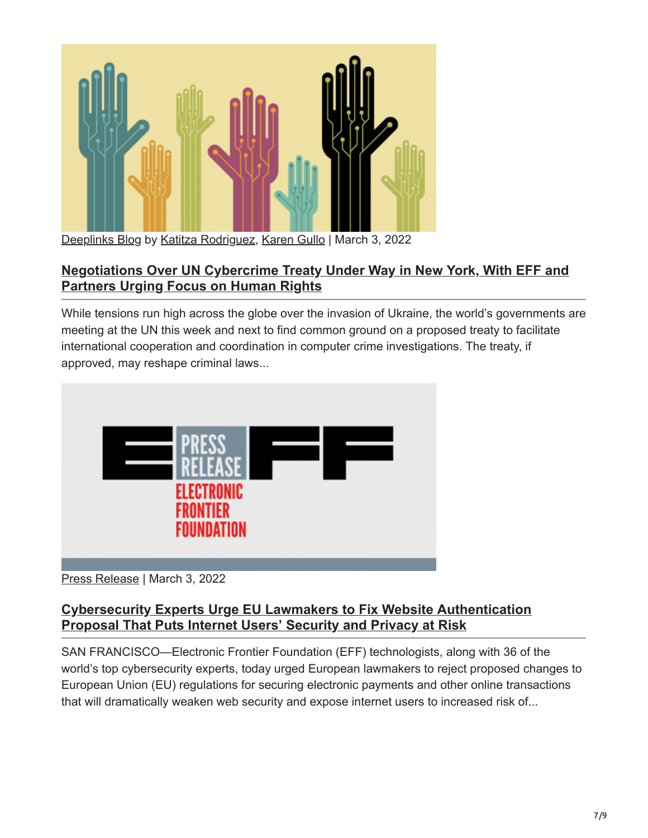

### **[Negotiations Over UN Cybercrime Treaty Under Way in New York, With EFF and](https://www.eff.org/deeplinks/2022/03/negotiations-over-international-police-powers-agreement-must-keep-human-rights) Partners Urging Focus on Human Rights**

While tensions run high across the globe over the invasion of Ukraine, the world's governments are meeting at the UN this week and next to find common ground on a proposed treaty to facilitate international cooperation and coordination in computer crime investigations. The treaty, if approved, may reshape criminal laws...



### [Press Release](https://www.eff.org/updates?type=press_release) | March 3, 2022

### **[Cybersecurity Experts Urge EU Lawmakers to Fix Website Authentication](https://www.eff.org/press/releases/cybersecurity-experts-urge-eu-lawmakers-fix-website-authentication-proposal-puts) Proposal That Puts Internet Users' Security and Privacy at Risk**

SAN FRANCISCO—Electronic Frontier Foundation (EFF) technologists, along with 36 of the world's top cybersecurity experts, today urged European lawmakers to reject proposed changes to European Union (EU) regulations for securing electronic payments and other online transactions that will dramatically weaken web security and expose internet users to increased risk of...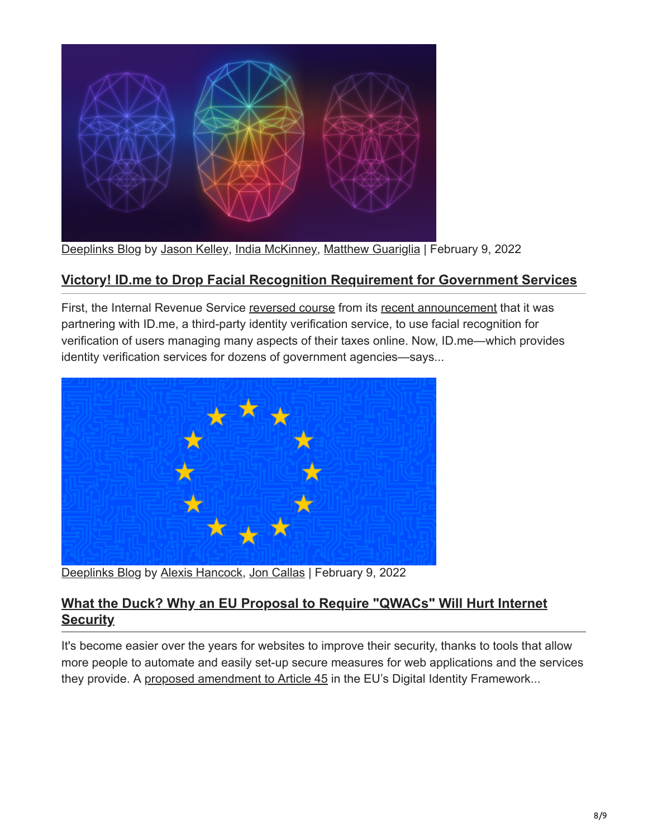

### **[Victory! ID.me to Drop Facial Recognition Requirement for Government Services](https://www.eff.org/deeplinks/2022/02/victory-irs-wont-require-facial-recognition-idme)**

First, the Internal Revenue Service [reversed course](https://www.nytimes.com/2022/02/07/us/politics/irs-idme-facial-recognition.html) from its [recent announcement](https://www.washingtonpost.com/technology/2022/01/27/irs-face-scans/) that it was partnering with ID.me, a third-party identity verification service, to use facial recognition for verification of users managing many aspects of their taxes online. Now, ID.me—which provides identity verification services for dozens of government agencies—says...



[Deeplinks Blog](https://www.eff.org/updates?type=blog) by [Alexis Hancock,](https://www.eff.org/about/staff/alexis-hancock) [Jon Callas](https://www.eff.org/about/staff/jon-callas) | February 9, 2022

#### **[What the Duck? Why an EU Proposal to Require "QWACs" Will Hurt Internet](https://www.eff.org/deeplinks/2022/02/what-duck-why-eu-proposal-require-qwacs-will-hurt-internet-security) Security**

It's become easier over the years for websites to improve their security, thanks to tools that allow more people to automate and easily set-up secure measures for web applications and the services they provide. A [proposed amendment to Article 45](https://digital-strategy.ec.europa.eu/en/library/trusted-and-secure-european-e-id-regulation) in the EU's Digital Identity Framework...